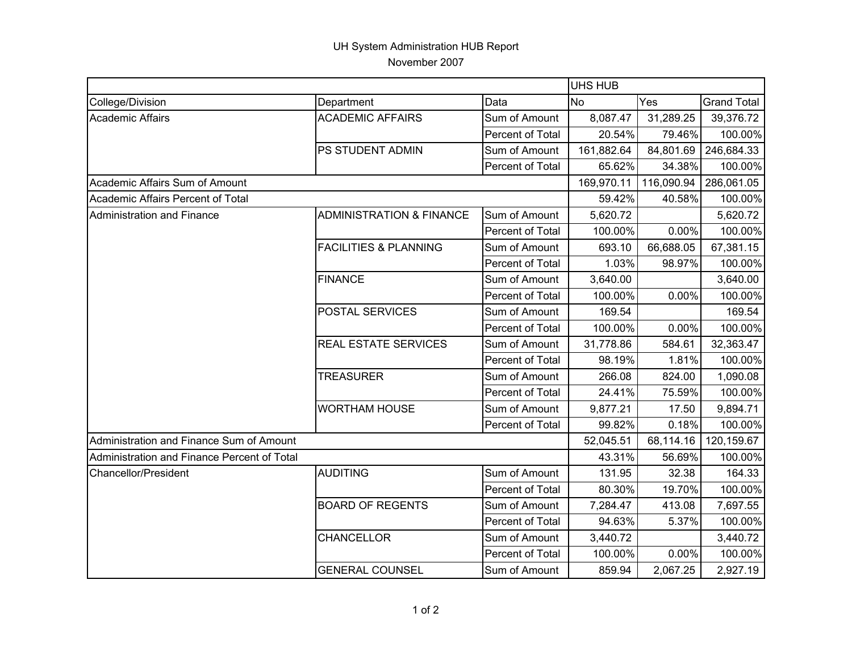## UH System Administration HUB Report November 2007

|                                             |                                     |                         | <b>UHS HUB</b> |            |                    |
|---------------------------------------------|-------------------------------------|-------------------------|----------------|------------|--------------------|
| College/Division                            | Department                          | Data                    | <b>No</b>      | Yes        | <b>Grand Total</b> |
| <b>Academic Affairs</b>                     | <b>ACADEMIC AFFAIRS</b>             | Sum of Amount           | 8,087.47       | 31,289.25  | 39,376.72          |
|                                             |                                     | Percent of Total        | 20.54%         | 79.46%     | 100.00%            |
|                                             | PS STUDENT ADMIN                    | Sum of Amount           | 161,882.64     | 84,801.69  | 246,684.33         |
|                                             |                                     | Percent of Total        | 65.62%         | 34.38%     | 100.00%            |
| Academic Affairs Sum of Amount              |                                     |                         | 169,970.11     | 116,090.94 | 286,061.05         |
| Academic Affairs Percent of Total           |                                     |                         | 59.42%         | 40.58%     | 100.00%            |
| Administration and Finance                  | <b>ADMINISTRATION &amp; FINANCE</b> | Sum of Amount           | 5,620.72       |            | 5,620.72           |
|                                             |                                     | <b>Percent of Total</b> | 100.00%        | 0.00%      | 100.00%            |
|                                             | <b>FACILITIES &amp; PLANNING</b>    | Sum of Amount           | 693.10         | 66,688.05  | 67,381.15          |
|                                             |                                     | Percent of Total        | 1.03%          | 98.97%     | 100.00%            |
|                                             | <b>FINANCE</b>                      | Sum of Amount           | 3,640.00       |            | 3,640.00           |
|                                             |                                     | Percent of Total        | 100.00%        | 0.00%      | 100.00%            |
|                                             | POSTAL SERVICES                     | Sum of Amount           | 169.54         |            | 169.54             |
|                                             |                                     | Percent of Total        | 100.00%        | 0.00%      | 100.00%            |
|                                             | <b>REAL ESTATE SERVICES</b>         | Sum of Amount           | 31,778.86      | 584.61     | 32,363.47          |
|                                             |                                     | Percent of Total        | 98.19%         | 1.81%      | 100.00%            |
|                                             | <b>TREASURER</b>                    | Sum of Amount           | 266.08         | 824.00     | 1,090.08           |
|                                             |                                     | Percent of Total        | 24.41%         | 75.59%     | 100.00%            |
|                                             | <b>WORTHAM HOUSE</b>                | Sum of Amount           | 9,877.21       | 17.50      | 9,894.71           |
|                                             |                                     | Percent of Total        | 99.82%         | 0.18%      | 100.00%            |
| Administration and Finance Sum of Amount    |                                     |                         | 52,045.51      | 68,114.16  | 120,159.67         |
| Administration and Finance Percent of Total |                                     |                         | 43.31%         | 56.69%     | 100.00%            |
| <b>Chancellor/President</b>                 | <b>AUDITING</b>                     | Sum of Amount           | 131.95         | 32.38      | 164.33             |
|                                             |                                     | Percent of Total        | 80.30%         | 19.70%     | 100.00%            |
|                                             | <b>BOARD OF REGENTS</b>             | Sum of Amount           | 7,284.47       | 413.08     | 7,697.55           |
|                                             |                                     | Percent of Total        | 94.63%         | 5.37%      | 100.00%            |
|                                             | <b>CHANCELLOR</b>                   | Sum of Amount           | 3,440.72       |            | 3,440.72           |
|                                             |                                     | Percent of Total        | 100.00%        | 0.00%      | 100.00%            |
|                                             | <b>GENERAL COUNSEL</b>              | Sum of Amount           | 859.94         | 2,067.25   | 2,927.19           |